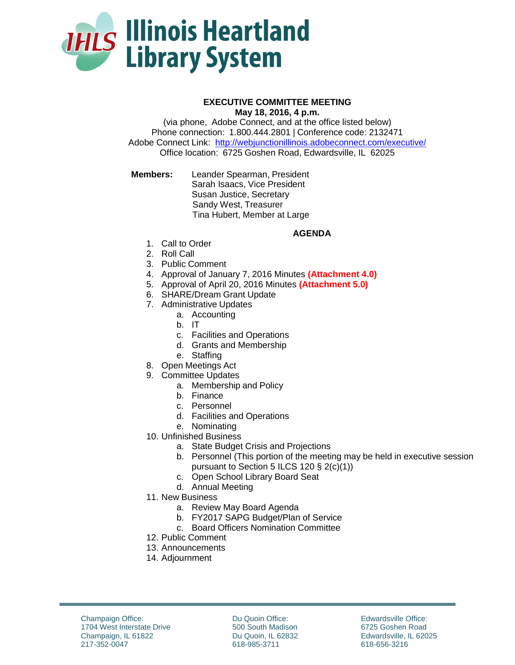

## **EXECUTIVE COMMITTEE MEETING May 18, 2016, 4 p.m.**

(via phone, Adobe Connect, and at the office listed below) Phone connection: 1.800.444.2801 | Conference code: 2132471 Adobe Connect Link: http://webjunctionillinois.adobeconnect.com/executive/ Office location: 6725 Goshen Road, Edwardsville, IL 62025

**Members:** Leander Spearman, President Sarah Isaacs, Vice President Susan Justice, Secretary Sandy West, Treasurer Tina Hubert, Member at Large

## **AGENDA**

- 1. Call to Order
- 2. Roll Call
- 3. Public Comment
- 4. Approval of January 7, 2016 Minutes **(Attachment 4.0)**
- 5. Approval of April 20, 2016 Minutes **(Attachment 5.0)**
- 6. SHARE/Dream Grant Update
- 7. Administrative Updates
	- a. Accounting
		- b. IT
		- c. Facilities and Operations
		- d. Grants and Membership
		- e. Staffing
- 8. Open Meetings Act
- 9. Committee Updates
	- a. Membership and Policy
	- b. Finance
	- c. Personnel
	- d. Facilities and Operations
	- e. Nominating
- 10. Unfinished Business
	- a. State Budget Crisis and Projections
	- b. Personnel (This portion of the meeting may be held in executive session pursuant to Section 5 ILCS 120 § 2(c)(1))
	- c. Open School Library Board Seat
	- d. Annual Meeting
- 11. New Business
	- a. Review May Board Agenda
	- b. FY2017 SAPG Budget/Plan of Service
	- c. Board Officers Nomination Committee
- 12. Public Comment
- 13. Announcements
- 14. Adjournment